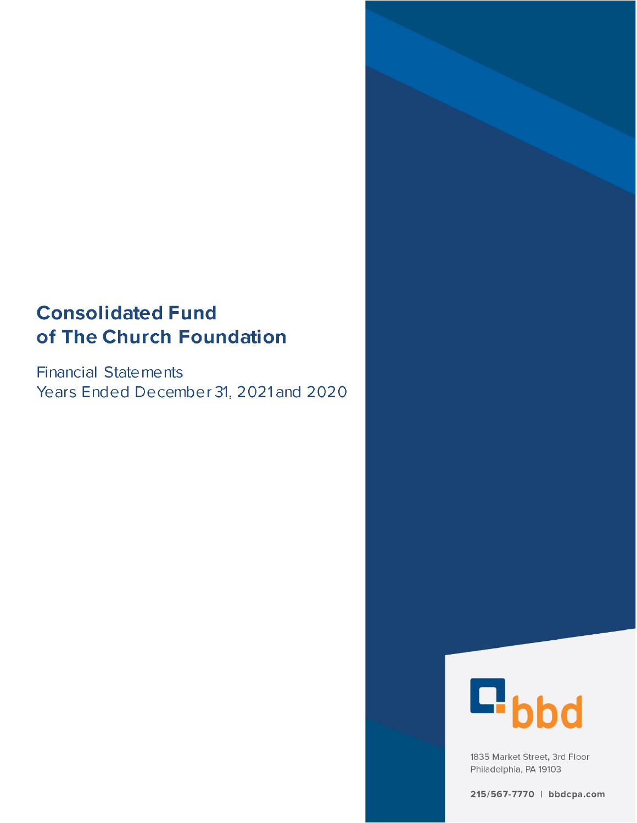# **Consolidated Fund** of The Church Foundation

**Financial Statements** Years Ended December 31, 2021 and 2020



1835 Market Street, 3rd Floor Philadelphia, PA 19103

215/567-7770 | bbdcpa.com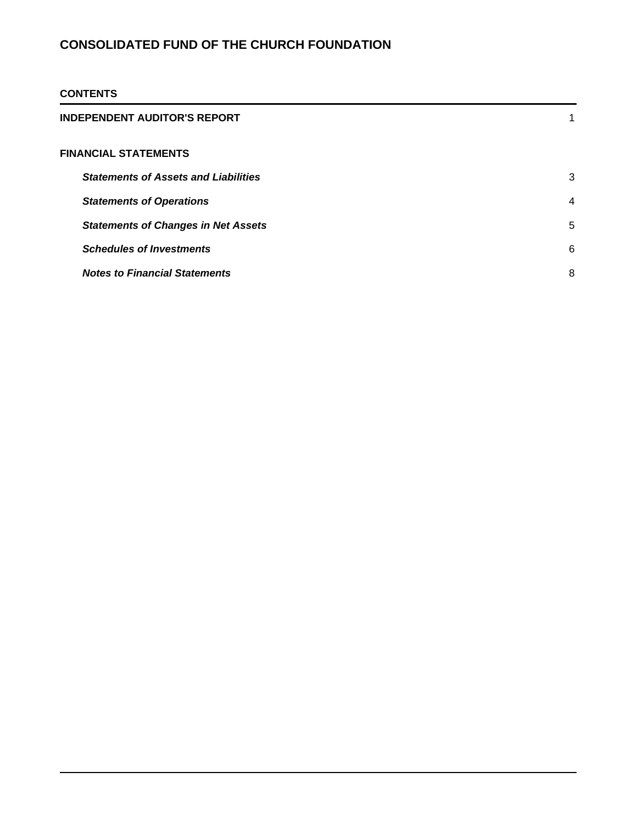### **CONTENTS**

| INDEPENDENT AUDITOR'S REPORT                |                |
|---------------------------------------------|----------------|
| FINANCIAL STATEMENTS                        |                |
| <b>Statements of Assets and Liabilities</b> | 3              |
| <b>Statements of Operations</b>             | $\overline{4}$ |
| <b>Statements of Changes in Net Assets</b>  | 5              |
| <b>Schedules of Investments</b>             | 6              |
| <b>Notes to Financial Statements</b>        | 8              |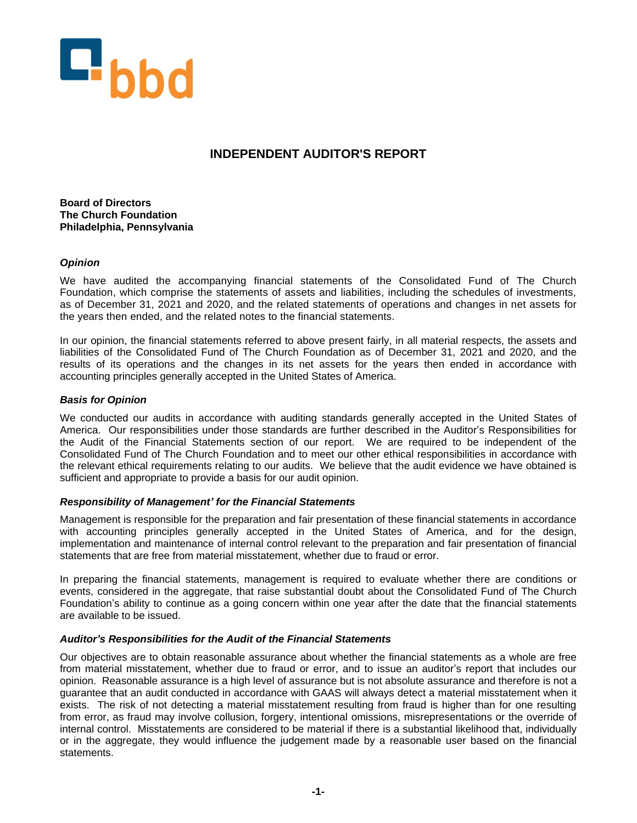

### **INDEPENDENT AUDITOR'S REPORT**

**Board of Directors The Church Foundation Philadelphia, Pennsylvania**

### *Opinion*

We have audited the accompanying financial statements of the Consolidated Fund of The Church Foundation, which comprise the statements of assets and liabilities, including the schedules of investments, as of December 31, 2021 and 2020, and the related statements of operations and changes in net assets for the years then ended, and the related notes to the financial statements.

In our opinion, the financial statements referred to above present fairly, in all material respects, the assets and liabilities of the Consolidated Fund of The Church Foundation as of December 31, 2021 and 2020, and the results of its operations and the changes in its net assets for the years then ended in accordance with accounting principles generally accepted in the United States of America.

### *Basis for Opinion*

We conducted our audits in accordance with auditing standards generally accepted in the United States of America. Our responsibilities under those standards are further described in the Auditor's Responsibilities for the Audit of the Financial Statements section of our report. We are required to be independent of the Consolidated Fund of The Church Foundation and to meet our other ethical responsibilities in accordance with the relevant ethical requirements relating to our audits. We believe that the audit evidence we have obtained is sufficient and appropriate to provide a basis for our audit opinion.

#### *Responsibility of Management' for the Financial Statements*

Management is responsible for the preparation and fair presentation of these financial statements in accordance with accounting principles generally accepted in the United States of America, and for the design, implementation and maintenance of internal control relevant to the preparation and fair presentation of financial statements that are free from material misstatement, whether due to fraud or error.

In preparing the financial statements, management is required to evaluate whether there are conditions or events, considered in the aggregate, that raise substantial doubt about the Consolidated Fund of The Church Foundation's ability to continue as a going concern within one year after the date that the financial statements are available to be issued.

#### *Auditor's Responsibilities for the Audit of the Financial Statements*

Our objectives are to obtain reasonable assurance about whether the financial statements as a whole are free from material misstatement, whether due to fraud or error, and to issue an auditor's report that includes our opinion. Reasonable assurance is a high level of assurance but is not absolute assurance and therefore is not a guarantee that an audit conducted in accordance with GAAS will always detect a material misstatement when it exists. The risk of not detecting a material misstatement resulting from fraud is higher than for one resulting from error, as fraud may involve collusion, forgery, intentional omissions, misrepresentations or the override of internal control. Misstatements are considered to be material if there is a substantial likelihood that, individually or in the aggregate, they would influence the judgement made by a reasonable user based on the financial statements.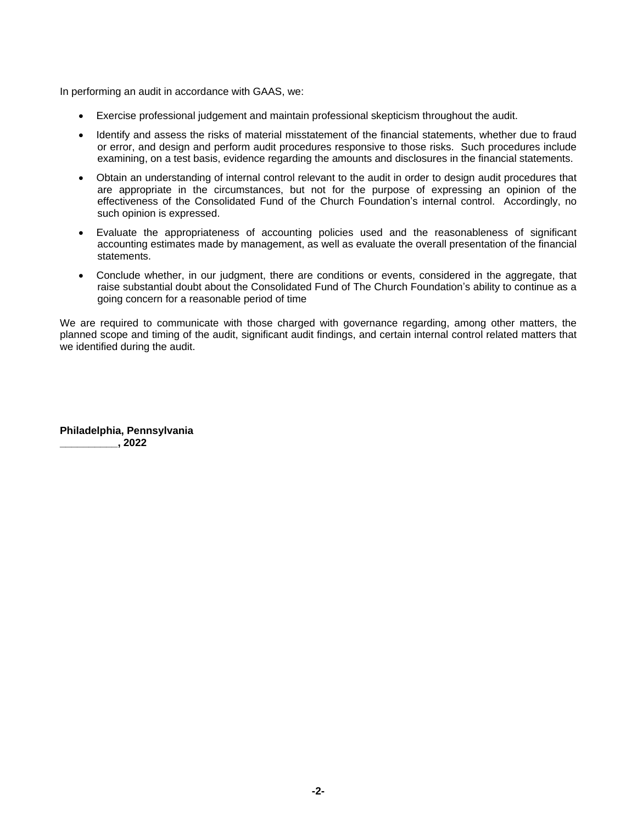In performing an audit in accordance with GAAS, we:

- Exercise professional judgement and maintain professional skepticism throughout the audit.
- Identify and assess the risks of material misstatement of the financial statements, whether due to fraud or error, and design and perform audit procedures responsive to those risks. Such procedures include examining, on a test basis, evidence regarding the amounts and disclosures in the financial statements.
- Obtain an understanding of internal control relevant to the audit in order to design audit procedures that are appropriate in the circumstances, but not for the purpose of expressing an opinion of the effectiveness of the Consolidated Fund of the Church Foundation's internal control. Accordingly, no such opinion is expressed.
- Evaluate the appropriateness of accounting policies used and the reasonableness of significant accounting estimates made by management, as well as evaluate the overall presentation of the financial statements.
- Conclude whether, in our judgment, there are conditions or events, considered in the aggregate, that raise substantial doubt about the Consolidated Fund of The Church Foundation's ability to continue as a going concern for a reasonable period of time

We are required to communicate with those charged with governance regarding, among other matters, the planned scope and timing of the audit, significant audit findings, and certain internal control related matters that we identified during the audit.

**Philadelphia, Pennsylvania \_\_\_\_\_\_\_\_\_\_, 2022**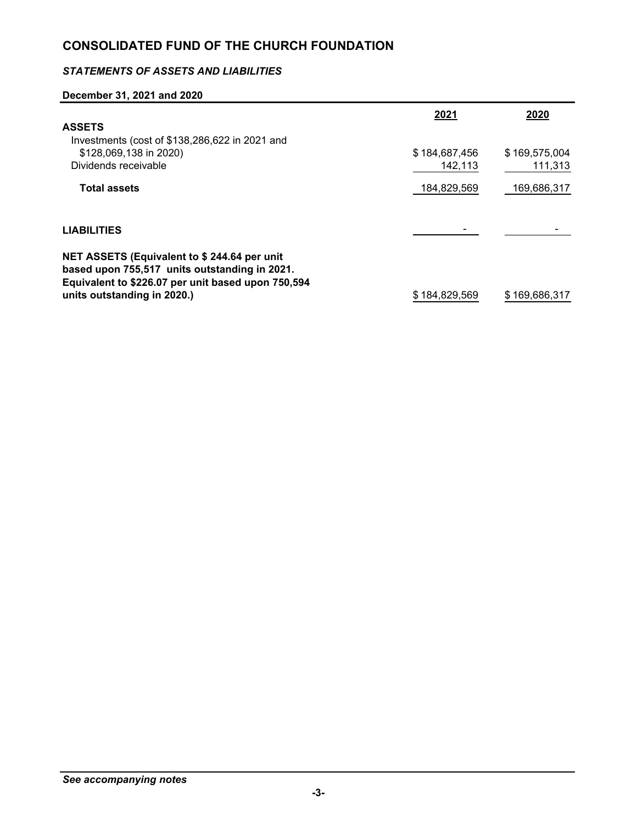### *STATEMENTS OF ASSETS AND LIABILITIES*

### **December 31, 2021 and 2020**

|                                                                                              | 2021          | 2020          |
|----------------------------------------------------------------------------------------------|---------------|---------------|
| <b>ASSETS</b>                                                                                |               |               |
| Investments (cost of \$138,286,622 in 2021 and                                               |               |               |
| \$128,069,138 in 2020)                                                                       | \$184,687,456 | \$169,575,004 |
| Dividends receivable                                                                         | 142,113       | 111,313       |
| <b>Total assets</b>                                                                          | 184,829,569   | 169,686,317   |
| <b>LIABILITIES</b>                                                                           |               |               |
| NET ASSETS (Equivalent to \$244.64 per unit<br>based upon 755,517 units outstanding in 2021. |               |               |
| Equivalent to \$226.07 per unit based upon 750,594<br>units outstanding in 2020.)            | \$184,829,569 | \$169,686,317 |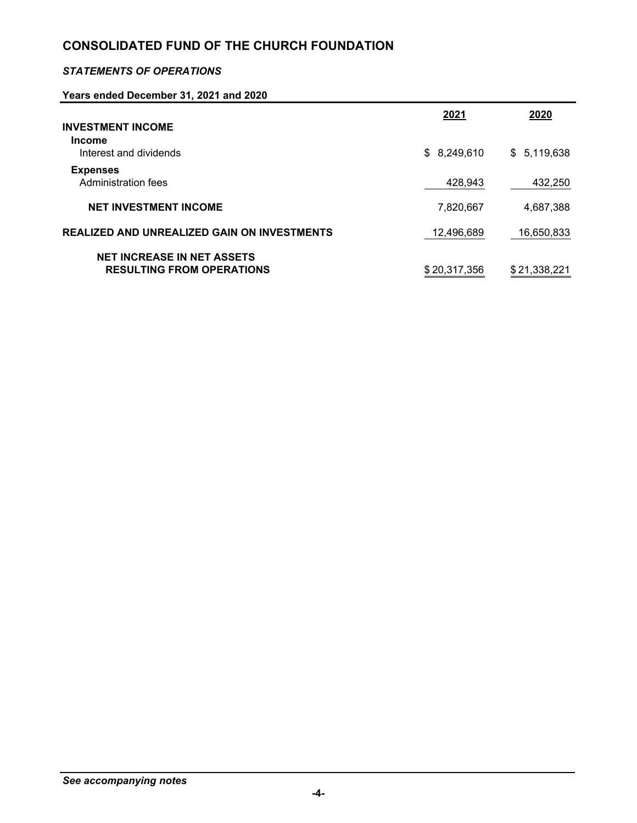### *STATEMENTS OF OPERATIONS*

### **Years ended December 31, 2021 and 2020**

|                                                                       | 2021         | 2020         |
|-----------------------------------------------------------------------|--------------|--------------|
| <b>INVESTMENT INCOME</b><br><b>Income</b><br>Interest and dividends   | \$8,249,610  | \$5,119,638  |
| <b>Expenses</b><br>Administration fees                                | 428,943      | 432,250      |
| <b>NET INVESTMENT INCOME</b>                                          | 7,820,667    | 4,687,388    |
| REALIZED AND UNREALIZED GAIN ON INVESTMENTS                           | 12,496,689   | 16,650,833   |
| <b>NET INCREASE IN NET ASSETS</b><br><b>RESULTING FROM OPERATIONS</b> | \$20.317.356 | \$21,338,221 |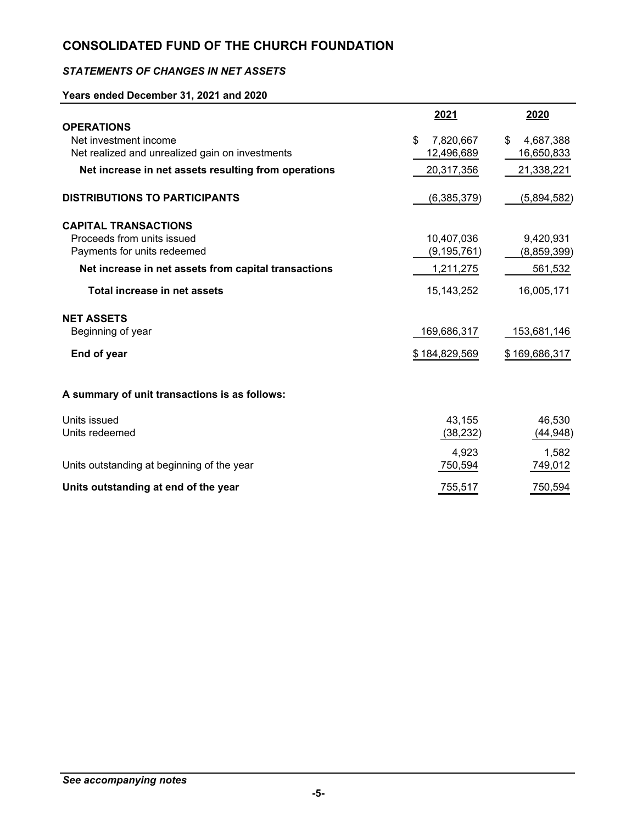### *STATEMENTS OF CHANGES IN NET ASSETS*

### **Years ended December 31, 2021 and 2020**

|                                                      | 2021            | 2020            |
|------------------------------------------------------|-----------------|-----------------|
| <b>OPERATIONS</b>                                    |                 |                 |
| Net investment income                                | \$<br>7,820,667 | 4,687,388<br>\$ |
| Net realized and unrealized gain on investments      | 12,496,689      | 16,650,833      |
| Net increase in net assets resulting from operations | 20,317,356      | 21,338,221      |
| <b>DISTRIBUTIONS TO PARTICIPANTS</b>                 | (6,385,379)     | (5,894,582)     |
| <b>CAPITAL TRANSACTIONS</b>                          |                 |                 |
| Proceeds from units issued                           | 10,407,036      | 9,420,931       |
| Payments for units redeemed                          | (9, 195, 761)   | (8,859,399)     |
| Net increase in net assets from capital transactions | 1,211,275       | 561,532         |
| Total increase in net assets                         | 15, 143, 252    | 16,005,171      |
| <b>NET ASSETS</b>                                    |                 |                 |
| Beginning of year                                    | 169,686,317     | 153,681,146     |
| End of year                                          | \$184,829,569   | \$169,686,317   |
| A summary of unit transactions is as follows:        |                 |                 |
| Units issued                                         | 43,155          | 46,530          |
| Units redeemed                                       | (38, 232)       | (44, 948)       |
|                                                      | 4,923           | 1,582           |
| Units outstanding at beginning of the year           | 750,594         | 749,012         |
| Units outstanding at end of the year                 | 755,517         | 750,594         |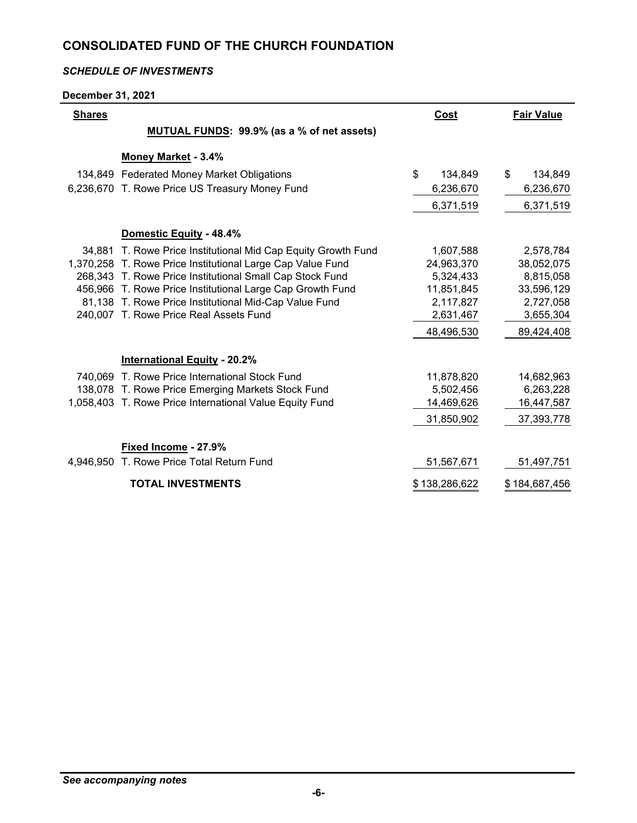### *SCHEDULE OF INVESTMENTS*

**December 31, 2021**

| <b>Shares</b> |                                                               | Cost          | <b>Fair Value</b> |
|---------------|---------------------------------------------------------------|---------------|-------------------|
|               | <b>MUTUAL FUNDS: 99.9% (as a % of net assets)</b>             |               |                   |
|               | Money Market - 3.4%                                           |               |                   |
|               | 134,849 Federated Money Market Obligations                    | \$<br>134,849 | \$<br>134,849     |
|               | 6,236,670 T. Rowe Price US Treasury Money Fund                | 6,236,670     | 6,236,670         |
|               |                                                               | 6,371,519     | 6,371,519         |
|               |                                                               |               |                   |
|               | Domestic Equity - 48.4%                                       |               |                   |
|               | 34,881 T. Rowe Price Institutional Mid Cap Equity Growth Fund | 1,607,588     | 2,578,784         |
|               | 1,370,258 T. Rowe Price Institutional Large Cap Value Fund    | 24,963,370    | 38,052,075        |
|               | 268,343 T. Rowe Price Institutional Small Cap Stock Fund      | 5,324,433     | 8,815,058         |
|               | 456,966 T. Rowe Price Institutional Large Cap Growth Fund     | 11,851,845    | 33,596,129        |
|               | 81,138 T. Rowe Price Institutional Mid-Cap Value Fund         | 2,117,827     | 2,727,058         |
|               | 240,007 T. Rowe Price Real Assets Fund                        | 2,631,467     | 3,655,304         |
|               |                                                               | 48,496,530    | 89,424,408        |
|               | <b>International Equity - 20.2%</b>                           |               |                   |
|               | 740.069 T. Rowe Price International Stock Fund                | 11,878,820    | 14,682,963        |
|               | 138,078 T. Rowe Price Emerging Markets Stock Fund             | 5,502,456     | 6,263,228         |
|               | 1,058,403 T. Rowe Price International Value Equity Fund       | 14,469,626    | 16,447,587        |
|               |                                                               | 31,850,902    | 37,393,778        |
|               | Fixed Income - 27.9%                                          |               |                   |
|               | 4,946,950 T. Rowe Price Total Return Fund                     | 51,567,671    | 51,497,751        |
|               | <b>TOTAL INVESTMENTS</b>                                      | \$138,286,622 | \$184,687,456     |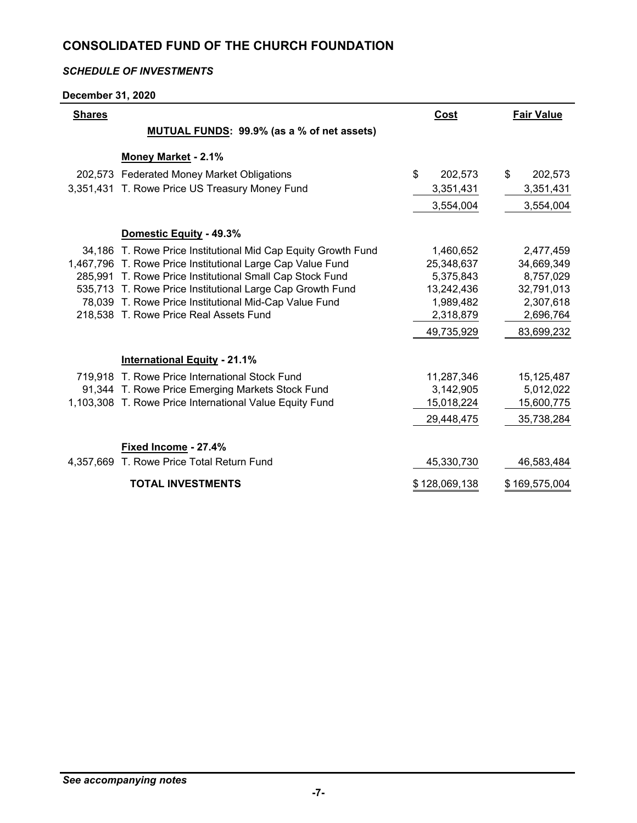### *SCHEDULE OF INVESTMENTS*

**December 31, 2020**

| <b>Shares</b> |                                                               | <b>Cost</b>   | <b>Fair Value</b> |
|---------------|---------------------------------------------------------------|---------------|-------------------|
|               | MUTUAL FUNDS: 99.9% (as a % of net assets)                    |               |                   |
|               | Money Market - 2.1%                                           |               |                   |
|               | 202,573 Federated Money Market Obligations                    | \$<br>202,573 | \$<br>202,573     |
|               | 3,351,431 T. Rowe Price US Treasury Money Fund                | 3,351,431     | 3,351,431         |
|               |                                                               | 3,554,004     | 3,554,004         |
|               | Domestic Equity - 49.3%                                       |               |                   |
|               | 34,186 T. Rowe Price Institutional Mid Cap Equity Growth Fund | 1,460,652     | 2,477,459         |
|               | 1,467,796 T. Rowe Price Institutional Large Cap Value Fund    | 25,348,637    | 34,669,349        |
|               | 285,991 T. Rowe Price Institutional Small Cap Stock Fund      | 5,375,843     | 8,757,029         |
|               | 535,713 T. Rowe Price Institutional Large Cap Growth Fund     | 13,242,436    | 32,791,013        |
|               | 78,039 T. Rowe Price Institutional Mid-Cap Value Fund         | 1,989,482     | 2,307,618         |
|               | 218,538 T. Rowe Price Real Assets Fund                        | 2,318,879     | 2,696,764         |
|               |                                                               | 49,735,929    | 83,699,232        |
|               | <b>International Equity - 21.1%</b>                           |               |                   |
|               | 719,918 T. Rowe Price International Stock Fund                | 11,287,346    | 15,125,487        |
|               | 91,344 T. Rowe Price Emerging Markets Stock Fund              | 3,142,905     | 5,012,022         |
|               | 1,103,308 T. Rowe Price International Value Equity Fund       | 15,018,224    | 15,600,775        |
|               |                                                               | 29,448,475    | 35,738,284        |
|               | Fixed Income - 27.4%                                          |               |                   |
|               | 4,357,669 T. Rowe Price Total Return Fund                     | 45,330,730    | 46,583,484        |
|               | <b>TOTAL INVESTMENTS</b>                                      | \$128,069,138 | \$169,575,004     |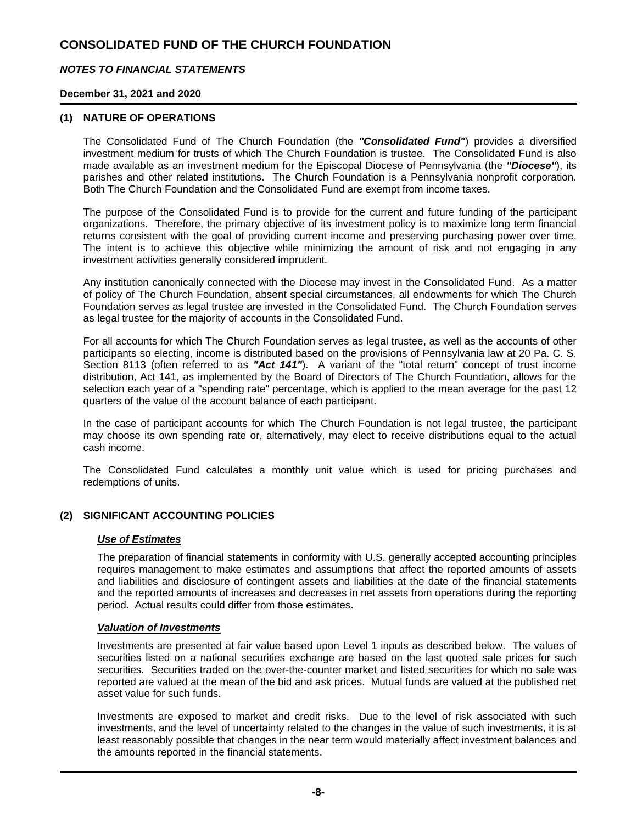### *NOTES TO FINANCIAL STATEMENTS*

### **December 31, 2021 and 2020**

### **(1) NATURE OF OPERATIONS**

The Consolidated Fund of The Church Foundation (the *"Consolidated Fund"*) provides a diversified investment medium for trusts of which The Church Foundation is trustee. The Consolidated Fund is also made available as an investment medium for the Episcopal Diocese of Pennsylvania (the *"Diocese"*), its parishes and other related institutions. The Church Foundation is a Pennsylvania nonprofit corporation. Both The Church Foundation and the Consolidated Fund are exempt from income taxes.

The purpose of the Consolidated Fund is to provide for the current and future funding of the participant organizations. Therefore, the primary objective of its investment policy is to maximize long term financial returns consistent with the goal of providing current income and preserving purchasing power over time. The intent is to achieve this objective while minimizing the amount of risk and not engaging in any investment activities generally considered imprudent.

Any institution canonically connected with the Diocese may invest in the Consolidated Fund. As a matter of policy of The Church Foundation, absent special circumstances, all endowments for which The Church Foundation serves as legal trustee are invested in the Consolidated Fund. The Church Foundation serves as legal trustee for the majority of accounts in the Consolidated Fund.

For all accounts for which The Church Foundation serves as legal trustee, as well as the accounts of other participants so electing, income is distributed based on the provisions of Pennsylvania law at 20 Pa. C. S. Section 8113 (often referred to as *"Act 141"*). A variant of the "total return" concept of trust income distribution, Act 141, as implemented by the Board of Directors of The Church Foundation, allows for the selection each year of a "spending rate" percentage, which is applied to the mean average for the past 12 quarters of the value of the account balance of each participant.

In the case of participant accounts for which The Church Foundation is not legal trustee, the participant may choose its own spending rate or, alternatively, may elect to receive distributions equal to the actual cash income.

The Consolidated Fund calculates a monthly unit value which is used for pricing purchases and redemptions of units.

#### **(2) SIGNIFICANT ACCOUNTING POLICIES**

#### *Use of Estimates*

The preparation of financial statements in conformity with U.S. generally accepted accounting principles requires management to make estimates and assumptions that affect the reported amounts of assets and liabilities and disclosure of contingent assets and liabilities at the date of the financial statements and the reported amounts of increases and decreases in net assets from operations during the reporting period. Actual results could differ from those estimates.

#### *Valuation of Investments*

Investments are presented at fair value based upon Level 1 inputs as described below. The values of securities listed on a national securities exchange are based on the last quoted sale prices for such securities. Securities traded on the over-the-counter market and listed securities for which no sale was reported are valued at the mean of the bid and ask prices. Mutual funds are valued at the published net asset value for such funds.

Investments are exposed to market and credit risks. Due to the level of risk associated with such investments, and the level of uncertainty related to the changes in the value of such investments, it is at least reasonably possible that changes in the near term would materially affect investment balances and the amounts reported in the financial statements.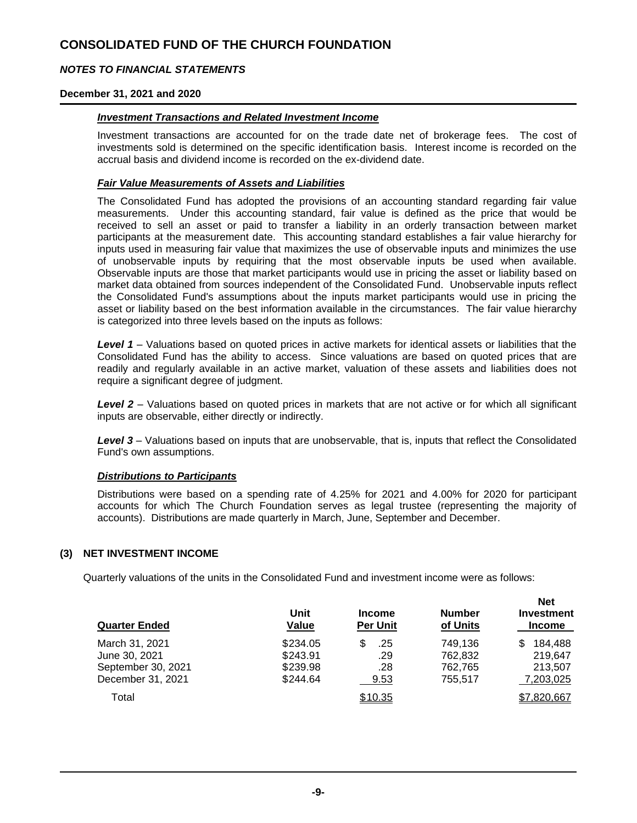### *NOTES TO FINANCIAL STATEMENTS*

#### **December 31, 2021 and 2020**

#### *Investment Transactions and Related Investment Income*

Investment transactions are accounted for on the trade date net of brokerage fees. The cost of investments sold is determined on the specific identification basis. Interest income is recorded on the accrual basis and dividend income is recorded on the ex-dividend date.

### *Fair Value Measurements of Assets and Liabilities*

The Consolidated Fund has adopted the provisions of an accounting standard regarding fair value measurements. Under this accounting standard, fair value is defined as the price that would be received to sell an asset or paid to transfer a liability in an orderly transaction between market participants at the measurement date. This accounting standard establishes a fair value hierarchy for inputs used in measuring fair value that maximizes the use of observable inputs and minimizes the use of unobservable inputs by requiring that the most observable inputs be used when available. Observable inputs are those that market participants would use in pricing the asset or liability based on market data obtained from sources independent of the Consolidated Fund. Unobservable inputs reflect the Consolidated Fund's assumptions about the inputs market participants would use in pricing the asset or liability based on the best information available in the circumstances. The fair value hierarchy is categorized into three levels based on the inputs as follows:

*Level 1* – Valuations based on quoted prices in active markets for identical assets or liabilities that the Consolidated Fund has the ability to access. Since valuations are based on quoted prices that are readily and regularly available in an active market, valuation of these assets and liabilities does not require a significant degree of judgment.

**Level 2** – Valuations based on quoted prices in markets that are not active or for which all significant inputs are observable, either directly or indirectly.

*Level 3* – Valuations based on inputs that are unobservable, that is, inputs that reflect the Consolidated Fund's own assumptions.

#### *Distributions to Participants*

Distributions were based on a spending rate of 4.25% for 2021 and 4.00% for 2020 for participant accounts for which The Church Foundation serves as legal trustee (representing the majority of accounts). Distributions are made quarterly in March, June, September and December.

#### **(3) NET INVESTMENT INCOME**

Quarterly valuations of the units in the Consolidated Fund and investment income were as follows:

| <b>Quarter Ended</b>                    | Unit<br>Value        | <b>Income</b><br><b>Per Unit</b> | <b>Number</b><br>of Units | nel<br><b>Investment</b><br><b>Income</b> |
|-----------------------------------------|----------------------|----------------------------------|---------------------------|-------------------------------------------|
| March 31, 2021<br>June 30, 2021         | \$234.05<br>\$243.91 | .25<br>.29                       | 749,136<br>762.832        | 184,488<br>S<br>219.647                   |
| September 30, 2021<br>December 31, 2021 | \$239.98<br>\$244.64 | .28<br>9.53                      | 762.765<br>755,517        | 213.507<br>7,203,025                      |
| Total                                   |                      | \$10.35                          |                           | \$7,820,667                               |

**Net**